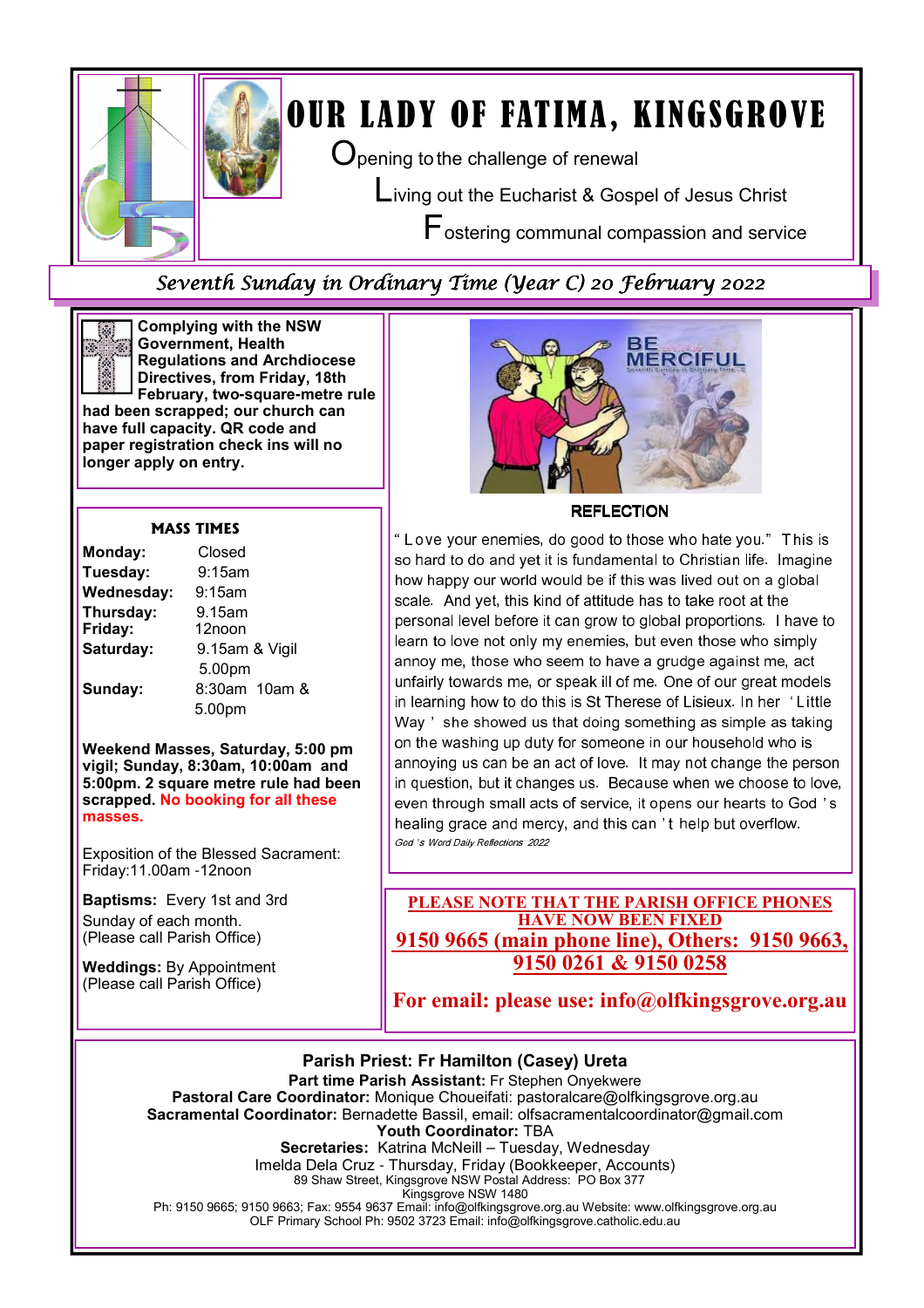

# OUR LADY OF FATIMA, KINGSGROVE

 $\mathbf O$  pening to the challenge of renewal

Living out the Eucharist & Gospel of Jesus Christ

Fostering communal compassion and service

# Seventh Sunday in Ordinary Time (Year C) 20 February 2022



Complying with the NSW Government, Health Regulations and Archdiocese Directives, from Friday, 18th February, two**-**square**-**metre rule

had been scrapped; our church can have full capacity. QR code and paper registration check ins will no longer apply on entry.

## MASS TIMES

| Monday:<br>Tuesday:  | Closed<br>9:15am         |
|----------------------|--------------------------|
| Wednesday:           | $9:15$ am                |
| Thursday:<br>Friday: | 9.15am<br>12noon         |
| Saturday:            | 9.15am & Vigil<br>5.00pm |
| Sunday:              | 8:30am 10am &<br>5.00pm  |

Weekend Masses, Saturday, 5:00 pm vigil; Sunday, 8:30am, 10:00am and 5:00pm. 2 square metre rule had been scrapped. No booking for all these masses.

Exposition of the Blessed Sacrament: Friday:11.00am -12noon

Baptisms: Every 1st and 3rd Sunday of each month. (Please call Parish Office)

Weddings: By Appointment (Please call Parish Office)



## **REFLECTION**

" L ove your enemies, do good to those who hate you." This is so hard to do and yet it is fundamental to Christian life. Imagine how happy our world would be if this was lived out on a global scale. And yet, this kind of attitude has to take root at the personal level before it can grow to global proportions. I have to learn to love not only my enemies, but even those who simply annoy me, those who seem to have a grudge against me, act unfairly towards me, or speak ill of me. One of our great models in learning how to do this is St Therese of Lisieux. In her ' Little Way ' she showed us that doing something as simple as taking on the washing up duty for someone in our household who is annoying us can be an act of love. It may not change the person in question, but it changes us. Because when we choose to love, even through small acts of service, it opens our hearts to God ' s healing grace and mercy, and this can ' t help but overflow. God ' s Word Daily Reflections 2022

PLEASE NOTE THAT THE PARISH OFFICE PHONES HAVE NOW BEEN FIXED 9150 9665 (main phone line), Others: 9150 9663, 9150 0261 & 9150 0258

For email: please use: info@olfkingsgrove.org.au



Ph: 9150 9665; 9150 9663; Fax: 9554 9637 Email: info@olfkingsgrove.org.au Website: www.olfkingsgrove.org.au OLF Primary School Ph: 9502 3723 Email: info@olfkingsgrove.catholic.edu.au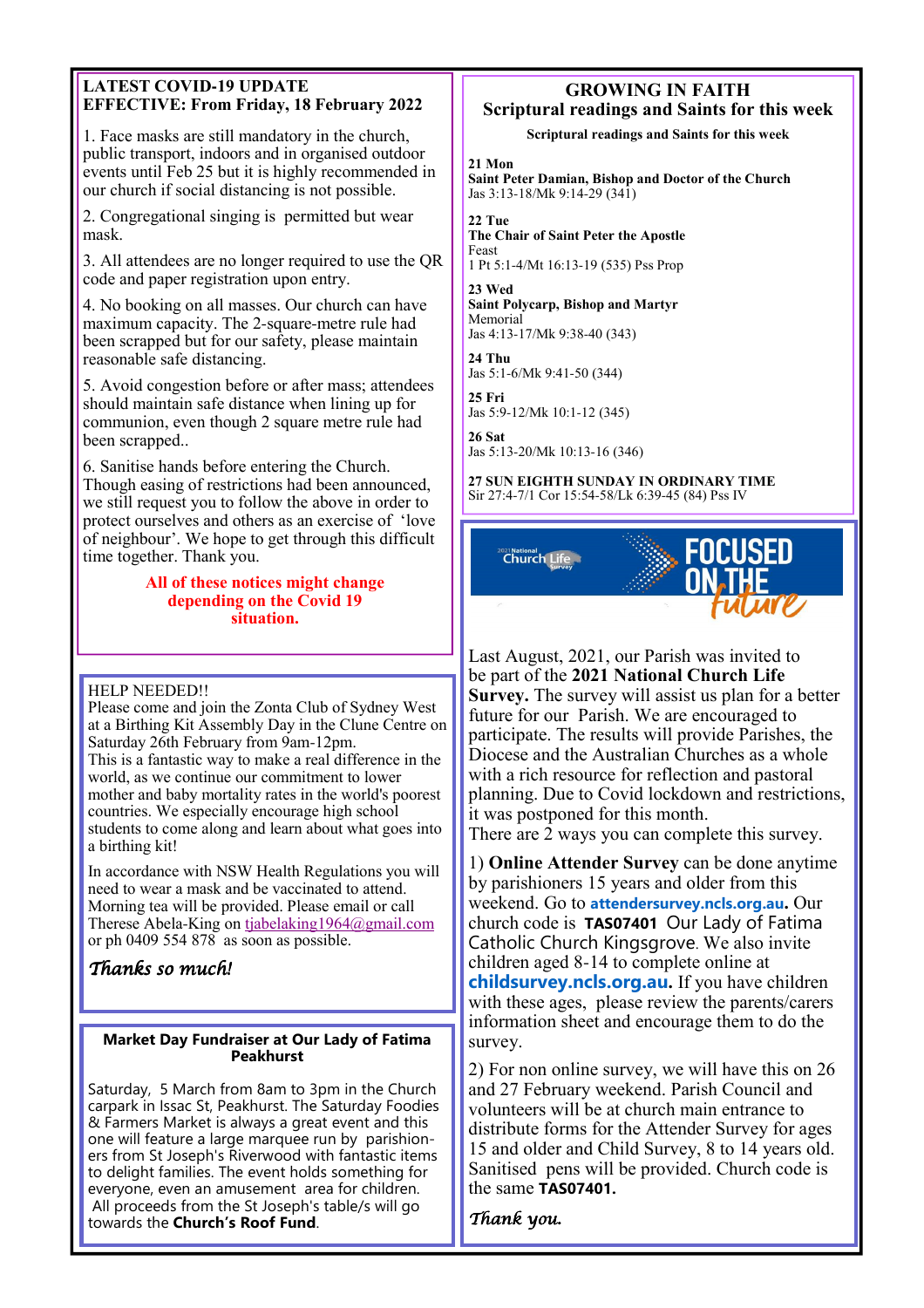## LATEST COVID**-**19 UPDATE EFFECTIVE: From Friday, 18 February 2022

1. Face masks are still mandatory in the church, public transport, indoors and in organised outdoor events until Feb 25 but it is highly recommended in our church if social distancing is not possible.

2. Congregational singing is permitted but wear mask.

3. All attendees are no longer required to use the QR code and paper registration upon entry.

4. No booking on all masses. Our church can have maximum capacity. The 2-square-metre rule had been scrapped but for our safety, please maintain reasonable safe distancing.

5. Avoid congestion before or after mass; attendees should maintain safe distance when lining up for communion, even though 2 square metre rule had been scrapped..

6. Sanitise hands before entering the Church. Though easing of restrictions had been announced, we still request you to follow the above in order to protect ourselves and others as an exercise of 'love of neighbour'. We hope to get through this difficult time together. Thank you.

#### All of these notices might change depending on the Covid 19 situation.

## HELP NEEDED!!

Please come and join the Zonta Club of Sydney West at a Birthing Kit Assembly Day in the Clune Centre on Saturday 26th February from 9am-12pm. This is a fantastic way to make a real difference in the world, as we continue our commitment to lower mother and baby mortality rates in the world's poorest countries. We especially encourage high school students to come along and learn about what goes into a birthing kit!

In accordance with NSW Health Regulations you will need to wear a mask and be vaccinated to attend. Morning tea will be provided. Please email or call Therese Abela-King on tjabelaking1964@gmail.com or ph 0409 554 878 as soon as possible.

## Thanks so much!

#### Market Day Fundraiser at Our Lady of Fatima Peakhurst

Saturday, 5 March from 8am to 3pm in the Church carpark in Issac St, Peakhurst. The Saturday Foodies & Farmers Market is always a great event and this one will feature a large marquee run by parishioners from St Joseph's Riverwood with fantastic items to delight families. The event holds something for everyone, even an amusement area for children. All proceeds from the St Joseph's table/s will go towards the Church's Roof Fund.

## GROWING IN FAITH Scriptural readings and Saints for this week

#### Scriptural readings and Saints for this week

21 Mon

Saint Peter Damian, Bishop and Doctor of the Church Jas 3:13-18/Mk 9:14-29 (341)

22 Tue The Chair of Saint Peter the Apostle Feast 1 Pt 5:1-4/Mt 16:13-19 (535) Pss Prop

23 Wed Saint Polycarp, Bishop and Martyr Memorial Jas 4:13-17/Mk 9:38-40 (343)

24 Thu Jas 5:1-6/Mk 9:41-50 (344)

25 Fri Jas 5:9-12/Mk 10:1-12 (345)

26 Sat Jas 5:13-20/Mk 10:13-16 (346)

27 SUN EIGHTH SUNDAY IN ORDINARY TIME Sir 27:4-7/1 Cor 15:54-58/Lk 6:39-45 (84) Pss IV

**Church Life** 

Last August, 2021, our Parish was invited to be part of the 2021 National Church Life Survey. The survey will assist us plan for a better future for our Parish. We are encouraged to participate. The results will provide Parishes, the Diocese and the Australian Churches as a whole with a rich resource for reflection and pastoral planning. Due to Covid lockdown and restrictions, it was postponed for this month.

There are 2 ways you can complete this survey.

1) Online Attender Survey can be done anytime by parishioners 15 years and older from this weekend. Go to attendersurvey.ncls.org.au. Our church code is TAS07401 Our Lady of Fatima Catholic Church Kingsgrove. We also invite children aged 8-14 to complete online at childsurvey.ncls.org.au. If you have children with these ages, please review the parents/carers information sheet and encourage them to do the survey.

2) For non online survey, we will have this on 26 and 27 February weekend. Parish Council and volunteers will be at church main entrance to distribute forms for the Attender Survey for ages 15 and older and Child Survey, 8 to 14 years old. Sanitised pens will be provided. Church code is the same TAS07401.

Thank you.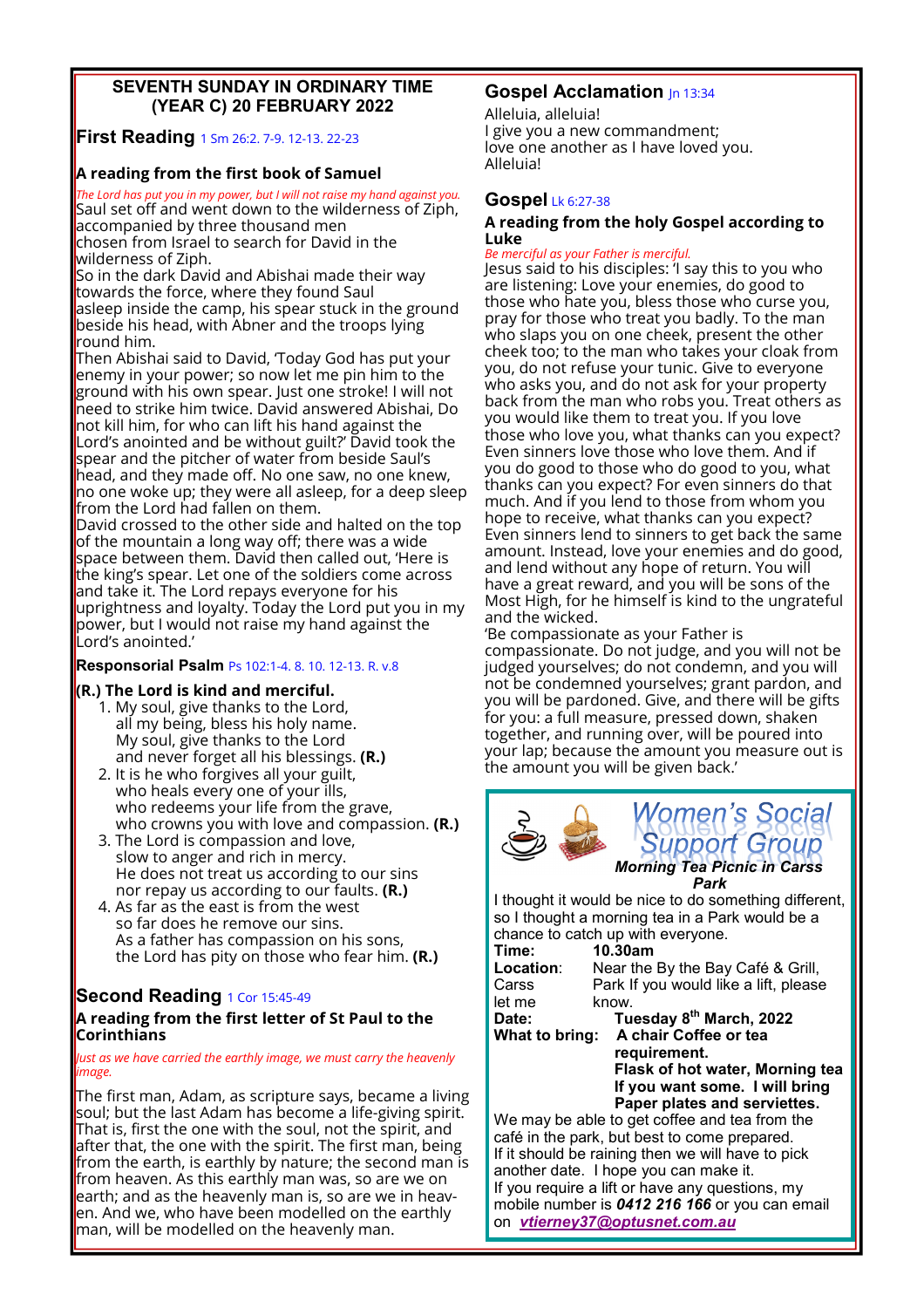## SEVENTH SUNDAY IN ORDINARY TIME (YEAR C) 20 FEBRUARY 2022

## **First Reading** 1 Sm 26:2. 7-9. 12-13. 22-23

## A reading from the first book of Samuel

The Lord has put you in my power, but I will not raise my hand against you. Saul set off and went down to the wilderness of Ziph, accompanied by three thousand men chosen from Israel to search for David in the wilderness of Ziph.

So in the dark David and Abishai made their way towards the force, where they found Saul asleep inside the camp, his spear stuck in the ground beside his head, with Abner and the troops lying round him.

Then Abishai said to David, 'Today God has put your enemy in your power; so now let me pin him to the ground with his own spear. Just one stroke! I will not need to strike him twice. David answered Abishai, Do not kill him, for who can lift his hand against the Lord's anointed and be without guilt?' David took the spear and the pitcher of water from beside Saul's head, and they made off. No one saw, no one knew, no one woke up; they were all asleep, for a deep sleep from the Lord had fallen on them.

David crossed to the other side and halted on the top of the mountain a long way off; there was a wide space between them. David then called out, 'Here is the king's spear. Let one of the soldiers come across and take it. The Lord repays everyone for his uprightness and loyalty. Today the Lord put you in my power, but I would not raise my hand against the Lord's anointed.'

## Responsorial Psalm Ps 102:1-4. 8. 10. 12-13. R. v.8

## (R.) The Lord is kind and merciful.

- 1. My soul, give thanks to the Lord, all my being, bless his holy name. My soul, give thanks to the Lord and never forget all his blessings. (R.)
- 2. It is he who forgives all your guilt, who heals every one of your ills, who redeems your life from the grave, who crowns you with love and compassion. (R.)
- 3. The Lord is compassion and love, slow to anger and rich in mercy. He does not treat us according to our sins nor repay us according to our faults. (R.)
- 4. As far as the east is from the west so far does he remove our sins. As a father has compassion on his sons, the Lord has pity on those who fear him. (R.)

## **Second Reading 1 Cor 15:45-49** A reading from the first letter of St Paul to the Corinthians

#### Just as we have carried the earthly image, we must carry the heavenly image.

The first man, Adam, as scripture says, became a living soul; but the last Adam has become a life-giving spirit. That is, first the one with the soul, not the spirit, and after that, the one with the spirit. The first man, being from the earth, is earthly by nature; the second man is from heaven. As this earthly man was, so are we on earth; and as the heavenly man is, so are we in heaven. And we, who have been modelled on the earthly man, will be modelled on the heavenly man.

## Gospel Acclamation Jn 13:34

Alleluia, alleluia! I give you a new commandment; love one another as I have loved you. Alleluia!

## **Gospel Lk 6:27-38**

#### A reading from the holy Gospel according to Luke

Be merciful as your Father is merciful.

Jesus said to his disciples: 'I say this to you who are listening: Love your enemies, do good to those who hate you, bless those who curse you, pray for those who treat you badly. To the man who slaps you on one cheek, present the other cheek too; to the man who takes your cloak from you, do not refuse your tunic. Give to everyone who asks you, and do not ask for your property back from the man who robs you. Treat others as you would like them to treat you. If you love those who love you, what thanks can you expect? Even sinners love those who love them. And if you do good to those who do good to you, what thanks can you expect? For even sinners do that much. And if you lend to those from whom you hope to receive, what thanks can you expect? Even sinners lend to sinners to get back the same amount. Instead, love your enemies and do good, and lend without any hope of return. You will have a great reward, and you will be sons of the Most High, for he himself is kind to the ungrateful and the wicked.

'Be compassionate as your Father is compassionate. Do not judge, and you will not be judged yourselves; do not condemn, and you will not be condemned yourselves; grant pardon, and you will be pardoned. Give, and there will be gifts for you: a full measure, pressed down, shaken together, and running over, will be poured into your lap; because the amount you measure out is the amount you will be given back.'



on vtierney37@optusnet.com.au